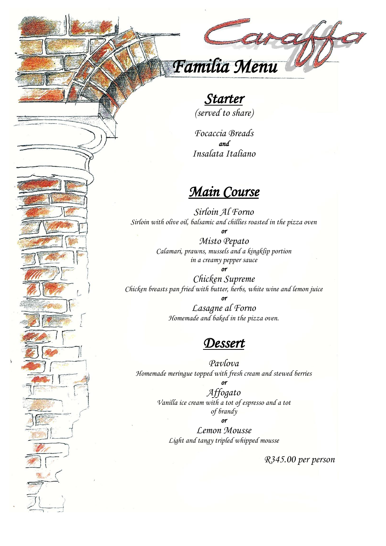# *Familia Menu*

## *Starter*

*(served to share)*

*Focaccia Breads and Insalata Italiano*

### *Main Course*

*Sirloin Al Forno Sirloin with olive oil, balsamic and chillies roasted in the pizza oven or* 

*Misto Pepato Calamari, prawns, mussels and a kingklip portion in a creamy pepper sauce* 

*or Chicken Supreme Chicken breasts pan fried with butter, herbs, white wine and lemon juice or* 

> *Lasagne al Forno Homemade and baked in the pizza oven.*

#### *Dessert*

*Pavlova Homemade meringue topped with fresh cream and stewed berries*

> *or Affogato Vanilla ice cream with a tot of espresso and a tot of brandy*

*or Lemon Mousse Light and tangy tripled whipped mousse*

*R345.00 per person*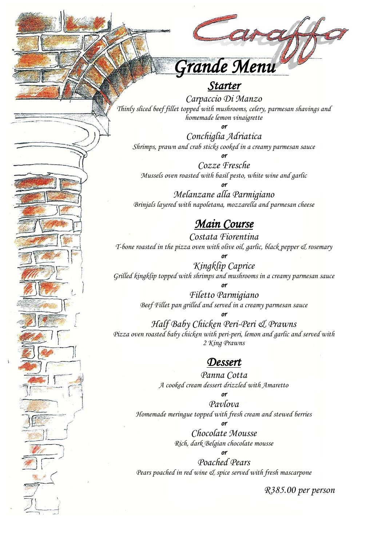

#### *Starter*

*Carpaccio Di Manzo Thinly sliced beef fillet topped with mushrooms, celery, parmesan shavings and homemade lemon vinaigrette*

*or* 

*Conchiglia Adriatica Shrimps, prawn and crab sticks cooked in a creamy parmesan sauce*

*or Cozze Fresche Mussels oven roasted with basil pesto, white wine and garlic*

*or Melanzane alla Parmigiano Brinjals layered with napoletana, mozzarella and parmesan cheese*

#### *Main Course*

*Costata Fiorentina T-bone roasted in the pizza oven with olive oil, garlic, black pepper & rosemary*

*Kingklip Caprice Grilled kingklip topped with shrimps and mushrooms in a creamy parmesan sauce*

*or* 

*or Filetto Parmigiano Beef Fillet pan grilled and served in a creamy parmesan sauce*

*or Half Baby Chicken Peri-Peri & Prawns Pizza oven roasted baby chicken with peri-peri, lemon and garlic and served with 2 King Prawns*

#### *Dessert*

*Panna Cotta A cooked cream dessert drizzled with Amaretto*

*or* 

*Pavlova Homemade meringue topped with fresh cream and stewed berries or* 

> *Chocolate Mousse Rich, dark Belgian chocolate mousse*

*or Poached Pears Pears poached in red wine & spice served with fresh mascarpone*

*R385.00 per person*